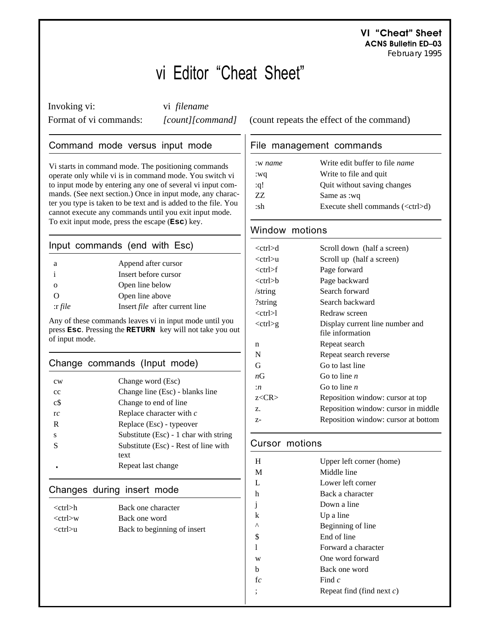**VI "Cheat" Sheet ACNS Bulletin ED–03** *February 1995*

# vi Editor "Cheat Sheet"

Invoking vi: vi *filename*

# Command mode versus input mode

Vi starts in command mode. The positioning commands operate only while vi is in command mode. You switch vi to input mode by entering any one of several vi input commands. (See next section.) Once in input mode, any character you type is taken to be text and is added to the file. You cannot execute any commands until you exit input mode. To exit input mode, press the escape (**Esc**) key.

# Input commands (end with Esc)

| a           | Append after cursor                   |
|-------------|---------------------------------------|
| $\mathbf i$ | Insert before cursor                  |
|             | Open line below                       |
| $\Omega$    | Open line above                       |
| $:$ r file  | Insert <i>file</i> after current line |

Any of these commands leaves vi in input mode until you press **Esc**. Pressing the **RETURN** key will not take you out of input mode.

## Change commands (Input mode)

| cw   | Change word (Esc)                       |
|------|-----------------------------------------|
| cc   | Change line (Esc) - blanks line         |
| $c\$ | Change to end of line                   |
| rc   | Replace character with $c$              |
| R    | Replace (Esc) - typeover                |
| s    | Substitute $(Esc) - 1$ char with string |
| S    | Substitute (Esc) - Rest of line with    |
|      | text                                    |
|      | Repeat last change                      |
|      |                                         |

## Changes during insert mode

| <ctrl>h</ctrl> | Back one character          |
|----------------|-----------------------------|
| $<$ ctrl $>$ w | Back one word               |
| <ctrl>u</ctrl> | Back to beginning of insert |

Format of vi commands: *[count][command]* (count repeats the effect of the command)

## File management commands

| :w name | Write edit buffer to file <i>name</i>     |
|---------|-------------------------------------------|
| :wq     | Write to file and quit                    |
| :q!     | Quit without saving changes               |
| 77.     | Same as :wq                               |
| ∙sh     | Execute shell commands $(<\text{ctrl}>d)$ |

# Window motions

| <ctrl>d</ctrl> | Scroll down (half a screen)         |
|----------------|-------------------------------------|
| $<$ ctrl $>u$  | Scroll up (half a screen)           |
| $<$ ctrl $>$ f | Page forward                        |
| <ctrl>b</ctrl> | Page backward                       |
| /string        | Search forward                      |
| ?string        | Search backward                     |
| $<$ ctrl $>l$  | Redraw screen                       |
| $<$ ctrl $>g$  | Display current line number and     |
|                | file information                    |
| n              | Repeat search                       |
| N              | Repeat search reverse               |
| G              | Go to last line                     |
| nG             | Go to line $n$                      |
| :n             | Go to line $n$                      |
| z <cr></cr>    | Reposition window: cursor at top    |
| 7.             | Reposition window: cursor in middle |
| Z-             | Reposition window: cursor at bottom |
|                |                                     |

# Cursor motions

| H  | Upper left corner (home)     |
|----|------------------------------|
| M  | Middle line                  |
| L  | Lower left corner            |
| h  | Back a character             |
| j. | Down a line                  |
| k  | Up a line                    |
| Λ  | Beginning of line            |
| \$ | End of line                  |
|    | Forward a character          |
| W  | One word forward             |
| h  | Back one word                |
| fc | Find $c$                     |
|    | Repeat find (find next $c$ ) |
|    |                              |